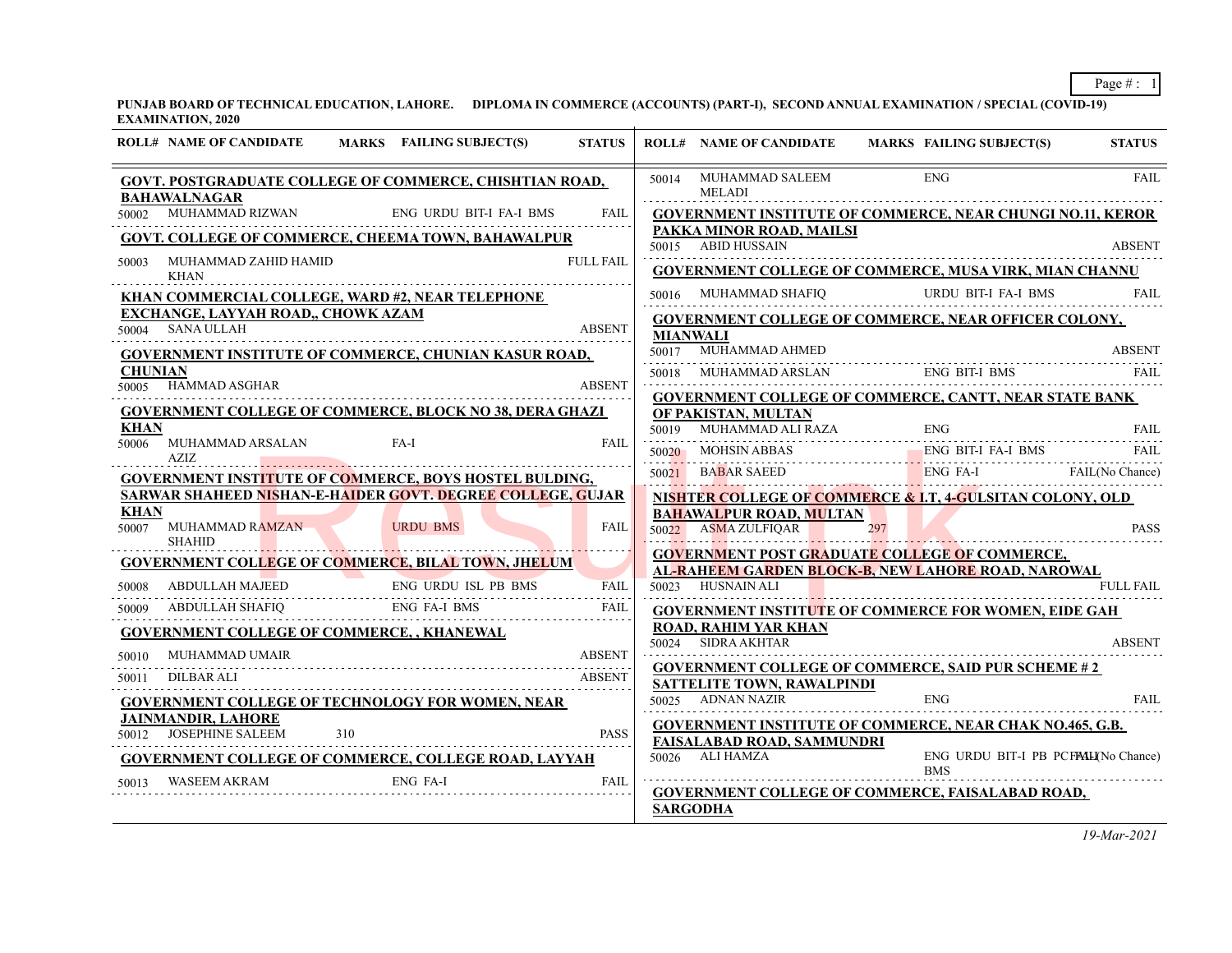**PUNJAB BOARD OF TECHNICAL EDUCATION, LAHORE. DIPLOMA IN COMMERCE (ACCOUNTS) (PART-I), SECOND ANNUAL EXAMINATION / SPECIAL (COVID-19) EXAMINATION, 2020**

| <b>ROLL# NAME OF CANDIDATE</b>                   | MARKS FAILING SUBJECT(S)                                       | <b>STATUS</b>    |                 | <b>ROLL# NAME OF CANDIDATE</b>                        | <b>MARKS FAILING SUBJECT(S)</b>                                                                            | <b>STATUS</b>    |
|--------------------------------------------------|----------------------------------------------------------------|------------------|-----------------|-------------------------------------------------------|------------------------------------------------------------------------------------------------------------|------------------|
| <b>BAHAWALNAGAR</b>                              | GOVT. POSTGRADUATE COLLEGE OF COMMERCE, CHISHTIAN ROAD,        |                  |                 | 50014 MUHAMMAD SALEEM<br><b>MELADI</b>                | <b>ENG</b>                                                                                                 | <b>FAIL</b>      |
|                                                  | 50002 MUHAMMAD RIZWAN ENG URDU BIT-I FA-I BMS                  | <b>FAIL</b>      |                 |                                                       | <b>GOVERNMENT INSTITUTE OF COMMERCE, NEAR CHUNGI NO.11, KEROR</b>                                          |                  |
|                                                  | <b>GOVT. COLLEGE OF COMMERCE, CHEEMA TOWN, BAHAWALPUR</b>      |                  |                 | PAKKA MINOR ROAD, MAILSI<br>50015 ABID HUSSAIN        |                                                                                                            | <b>ABSENT</b>    |
| MUHAMMAD ZAHID HAMID<br>50003                    |                                                                | <b>FULL FAIL</b> |                 |                                                       |                                                                                                            |                  |
| KHAN                                             |                                                                |                  |                 |                                                       | <b>GOVERNMENT COLLEGE OF COMMERCE, MUSA VIRK, MIAN CHANNU</b>                                              |                  |
| <b>EXCHANGE, LAYYAH ROAD,, CHOWK AZAM</b>        | KHAN COMMERCIAL COLLEGE, WARD #2, NEAR TELEPHONE               |                  |                 | 50016 MUHAMMAD SHAFIQ                                 | URDU BIT-I FA-I BMS                                                                                        | FAIL             |
| 50004 SANA ULLAH                                 |                                                                | <b>ABSENT</b>    | <b>MIANWALI</b> |                                                       | <b>GOVERNMENT COLLEGE OF COMMERCE, NEAR OFFICER COLONY,</b>                                                |                  |
|                                                  | <b>GOVERNMENT INSTITUTE OF COMMERCE, CHUNIAN KASUR ROAD,</b>   |                  |                 | 50017 MUHAMMAD AHMED                                  |                                                                                                            | <b>ABSENT</b>    |
| <b>CHUNIAN</b>                                   |                                                                |                  |                 | 50018 MUHAMMAD ARSLAN                                 | ENG BIT-I BMS                                                                                              | FAIL             |
| 50005 HAMMAD ASGHAR                              |                                                                | <b>ABSENT</b>    |                 |                                                       | <b>GOVERNMENT COLLEGE OF COMMERCE, CANTT, NEAR STATE BANK</b>                                              |                  |
|                                                  | <b>GOVERNMENT COLLEGE OF COMMERCE, BLOCK NO 38, DERA GHAZI</b> |                  |                 | OF PAKISTAN, MULTAN                                   |                                                                                                            |                  |
| KHAN<br>50006 MUHAMMAD ARSALAN                   | FA-I                                                           | FAIL             |                 | 50019 MUHAMMAD ALI RAZA ENG                           |                                                                                                            | FAIL             |
| AZIZ                                             |                                                                |                  |                 | 50020 MOHSIN ABBAS                                    | ENG BIT-I FA-I BMS                                                                                         | FAIL             |
|                                                  | <b>GOVERNMENT INSTITUTE OF COMMERCE, BOYS HOSTEL BULDING,</b>  |                  |                 | 50021 BABAR SAEED                                     | <b>ABAR SAEED</b> ENG FA-I FAIL(No Chance)                                                                 |                  |
| <b>KHAN</b>                                      | SARWAR SHAHEED NISHAN-E-HAIDER GOVT. DEGREE COLLEGE, GUJAR     |                  |                 |                                                       | NISHTER COLLEGE OF COMMERCE & I.T, 4-GULSITAN COLONY, OLD                                                  |                  |
| 50007 MUHAMMAD RAMZAN<br><b>SHAHID</b>           | <b>URDU BMS</b>                                                | <b>FAIL</b>      |                 | <b>BAHAWALPUR ROAD, MULTAN</b><br>50022 ASMA ZULFIQAR | 297                                                                                                        | <b>PASS</b>      |
|                                                  | <b>GOVERNMENT COLLEGE OF COMMERCE, BILAL TOWN, JHELUM</b>      |                  |                 |                                                       | <b>GOVERNMENT POST GRADUATE COLLEGE OF COMMERCE,</b><br>AL-RAHEEM GARDEN BLOCK-B, NEW LAHORE ROAD, NAROWAL |                  |
| <b>ABDULLAH MAJEED</b><br>50008                  | ENG URDU ISL PB BMS                                            | <b>FAIL</b>      |                 | 50023 HUSNAIN ALI                                     |                                                                                                            | <b>FULL FAIL</b> |
| ABDULLAH SHAFIQ ENG FA-I BMS<br>50009            |                                                                | FAIL             |                 |                                                       | <b>GOVERNMENT INSTITUTE OF COMMERCE FOR WOMEN, EIDE GAH</b>                                                |                  |
| <b>GOVERNMENT COLLEGE OF COMMERCE,, KHANEWAL</b> |                                                                |                  |                 | <b>ROAD, RAHIM YAR KHAN</b>                           |                                                                                                            |                  |
| <b>MUHAMMAD UMAIR</b><br>50010                   |                                                                | <b>ABSENT</b>    |                 | 50024 SIDRA AKHTAR                                    |                                                                                                            | <b>ABSENT</b>    |
| DILBAR ALI<br>50011                              |                                                                | <b>ABSENT</b>    |                 |                                                       | <b>GOVERNMENT COLLEGE OF COMMERCE, SAID PUR SCHEME #2</b>                                                  |                  |
|                                                  | <b>GOVERNMENT COLLEGE OF TECHNOLOGY FOR WOMEN, NEAR</b>        |                  |                 | SATTELITE TOWN, RAWALPINDI<br>50025 ADNAN NAZIR       | <b>ENG</b>                                                                                                 | <b>FAIL</b>      |
| <b>JAINMANDIR, LAHORE</b>                        |                                                                |                  |                 |                                                       | GOVERNMENT INSTITUTE OF COMMERCE, NEAR CHAK NO.465, G.B.                                                   |                  |
| 50012 JOSEPHINE SALEEM                           | 310                                                            | <b>PASS</b>      |                 | <b>FAISALABAD ROAD, SAMMUNDRI</b>                     |                                                                                                            |                  |
|                                                  | <b>GOVERNMENT COLLEGE OF COMMERCE, COLLEGE ROAD, LAYYAH</b>    |                  |                 | 50026 ALI HAMZA                                       | ENG URDU BIT-I PB PCFALL(No Chance)<br><b>BMS</b>                                                          |                  |
| WASEEM AKRAM<br>50013                            | ENG FA-I                                                       | FAIL             |                 |                                                       | GOVERNMENT COLLEGE OF COMMERCE, FAISALABAD ROAD,                                                           |                  |
|                                                  |                                                                |                  |                 | <b>SARGODHA</b>                                       |                                                                                                            |                  |
|                                                  |                                                                |                  |                 |                                                       |                                                                                                            |                  |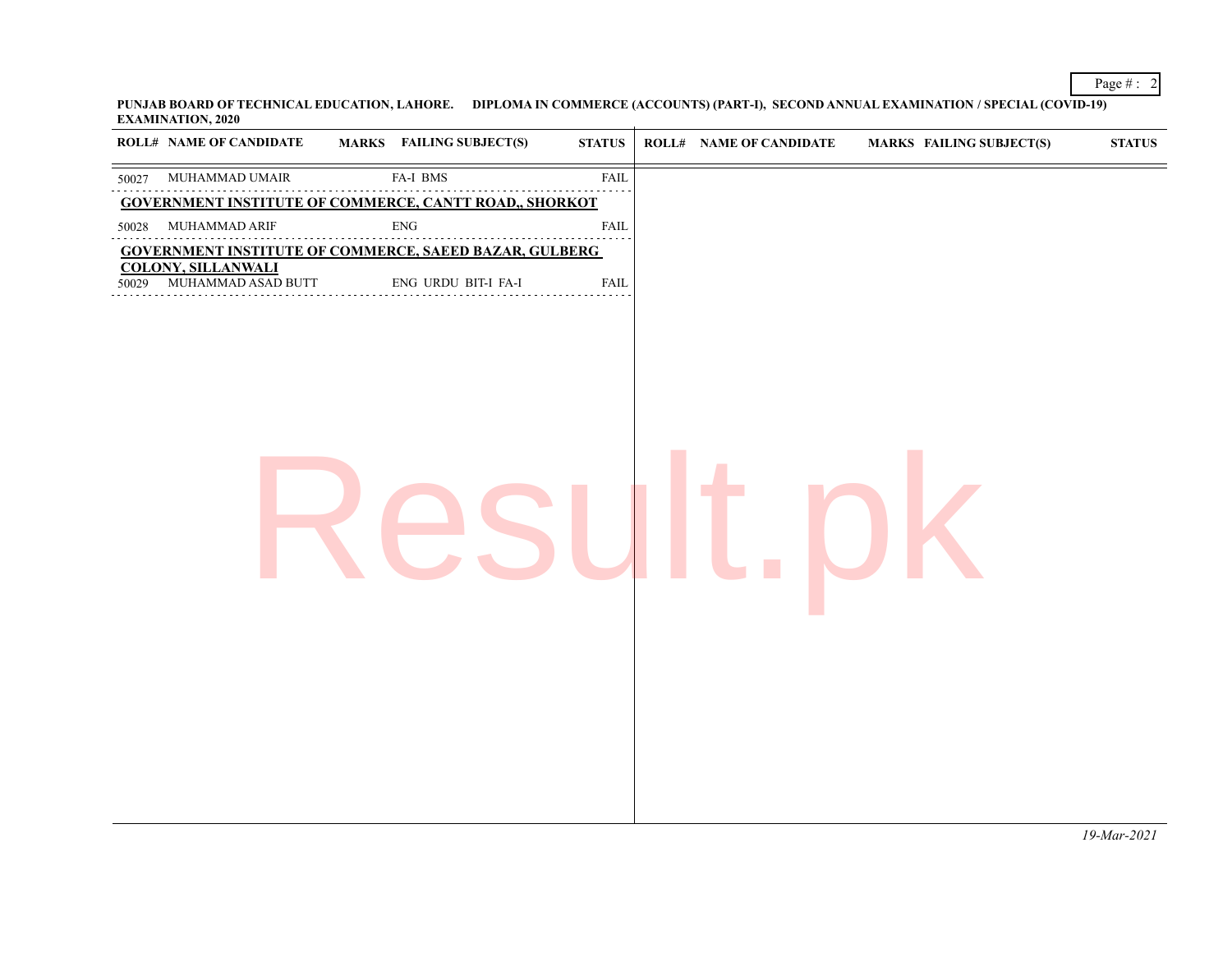**PUNJAB BOARD OF TECHNICAL EDUCATION, LAHORE. DIPLOMA IN COMMERCE (ACCOUNTS) (PART-I), SECOND ANNUAL EXAMINATION / SPECIAL (COVID-19) EXAMINATION, 2020**

Page # : 2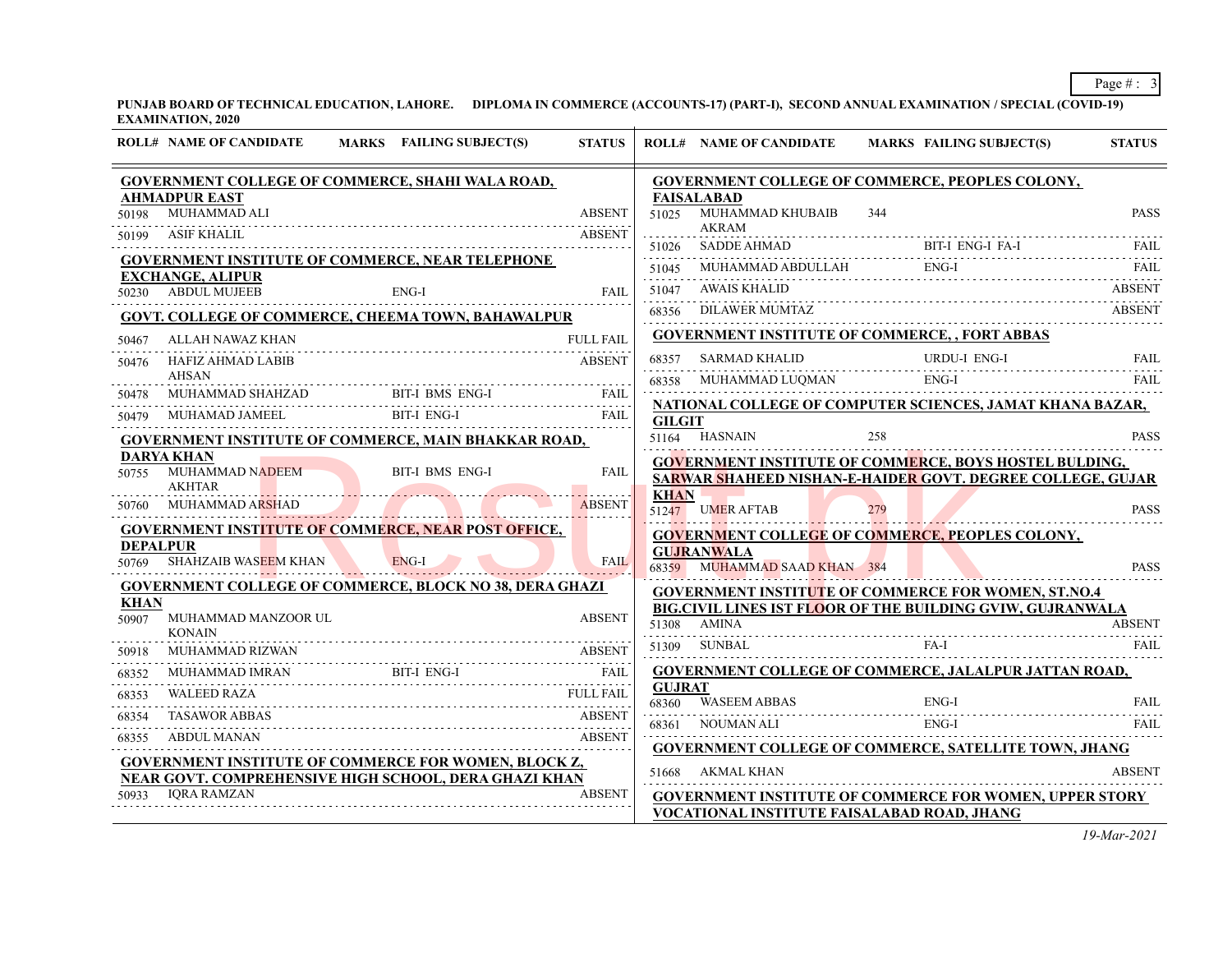**PUNJAB BOARD OF TECHNICAL EDUCATION, LAHORE. DIPLOMA IN COMMERCE (ACCOUNTS-17) (PART-I), SECOND ANNUAL EXAMINATION / SPECIAL (COVID-19) EXAMINATION, 2020**

|                          | <b>ROLL# NAME OF CANDIDATE</b>                                                     | MARKS FAILING SUBJECT(S) | <b>STATUS</b>                                                                                                           |                        | <b>ROLL# NAME OF CANDIDATE</b>                                              | MARKS FAILING SUBJECT(S) |                     | <b>STATUS</b> |
|--------------------------|------------------------------------------------------------------------------------|--------------------------|-------------------------------------------------------------------------------------------------------------------------|------------------------|-----------------------------------------------------------------------------|--------------------------|---------------------|---------------|
|                          | <b>GOVERNMENT COLLEGE OF COMMERCE, SHAHI WALA ROAD,</b><br><b>AHMADPUR EAST</b>    |                          |                                                                                                                         |                        | <b>GOVERNMENT COLLEGE OF COMMERCE, PEOPLES COLONY,</b><br><b>FAISALABAD</b> |                          |                     |               |
| 50198                    | MUHAMMAD ALI<br>ASIF KHALIL                                                        |                          | <b>ABSENT</b><br><b>ABSENT</b>                                                                                          | 51025                  | MUHAMMAD KHUBAIB<br><b>AKRAM</b>                                            | 344                      |                     | <b>PASS</b>   |
| 50199                    |                                                                                    |                          |                                                                                                                         | 51026                  | SADDE AHMAD BIT-I ENG-I FA-I FAIL FAIL                                      |                          |                     |               |
|                          | <b>GOVERNMENT INSTITUTE OF COMMERCE, NEAR TELEPHONE</b><br><b>EXCHANGE, ALIPUR</b> |                          |                                                                                                                         | 51045                  |                                                                             |                          |                     |               |
|                          | 50230 ABDUL MUJEEB                                                                 | $ENG-I$                  | FAIL                                                                                                                    | 51047                  | <b>AWAIS KHALID</b>                                                         |                          |                     | <b>ABSENT</b> |
|                          | GOVT. COLLEGE OF COMMERCE, CHEEMA TOWN, BAHAWALPUR                                 |                          |                                                                                                                         | 68356                  | <b>DILAWER MUMTAZ</b>                                                       |                          |                     | <b>ABSENT</b> |
| 50467                    | ALLAH NAWAZ KHAN                                                                   |                          | <b>FULL FAIL</b>                                                                                                        |                        | <b>GOVERNMENT INSTITUTE OF COMMERCE, , FORT ABBAS</b>                       |                          |                     |               |
| 50476                    | HAFIZ AHMAD LABIB                                                                  |                          | <b>ABSENT</b>                                                                                                           | 68357                  | <b>SARMAD KHALID</b>                                                        |                          | <b>URDU-I ENG-I</b> | <b>FAIL</b>   |
|                          | <b>AHSAN</b>                                                                       |                          |                                                                                                                         | 68358                  | MUHAMMAD LUQMAN                                                             | ENG-I                    |                     | <b>FAIL</b>   |
| 50478                    | MUHAMMAD SHAHZAD                                                                   |                          | BIT-I BMS ENG-I<br>FAIL                                                                                                 |                        | NATIONAL COLLEGE OF COMPUTER SCIENCES, JAMAT KHANA BAZAR,                   |                          |                     |               |
|                          | MUHAMAD JAMEEL                                                                     | <b>BIT-I ENG-I</b>       | FAIL                                                                                                                    | <b>GILGIT</b>          |                                                                             |                          |                     |               |
|                          | <b>GOVERNMENT INSTITUTE OF COMMERCE, MAIN BHAKKAR ROAD,</b>                        |                          |                                                                                                                         |                        | 51164 HASNAIN                                                               | 258                      |                     | <b>PASS</b>   |
| 50755                    | <b>DARYA KHAN</b><br>MUHAMMAD NADEEM                                               | <b>BIT-I BMS ENG-I</b>   | <b>FAIL</b>                                                                                                             |                        | <b>GOVERNMENT INSTITUTE OF COMMERCE, BOYS HOSTEL BULDING,</b>               |                          |                     |               |
|                          | <b>AKHTAR</b>                                                                      |                          |                                                                                                                         | <b>KHAN</b>            | SARWAR SHAHEED NISHAN-E-HAIDER GOVT. DEGREE COLLEGE, GUJAR                  |                          |                     |               |
|                          | 50760 MUHAMMAD ARSHAD                                                              |                          | <b>ABSENT</b>                                                                                                           |                        | 51247 UMER AFTAB                                                            | 279                      |                     | <b>PASS</b>   |
|                          | <b>GOVERNMENT INSTITUTE OF COMMERCE, NEAR POST OFFICE,</b>                         |                          |                                                                                                                         |                        | <b>GOVERNMENT COLLEGE OF COMMERCE, PEOPLES COLONY,</b>                      |                          |                     |               |
| <b>DEPALPUR</b><br>50769 | <b>SHAHZAIB WASEEM KHAN</b>                                                        | $ENG-I$                  | FAIL<br>the contract of the contract of the contract of the contract of the contract of the contract of the contract of |                        | <b>GUJRANWALA</b><br>68359 MUHAMMAD SAAD KHAN 384                           |                          |                     | <b>PASS</b>   |
|                          | <b>GOVERNMENT COLLEGE OF COMMERCE, BLOCK NO 38, DERA GHAZI</b>                     |                          |                                                                                                                         |                        | <b>GOVERNMENT INSTITUTE OF COMMERCE FOR WOMEN, ST.NO.4</b>                  |                          |                     |               |
| <b>KHAN</b>              |                                                                                    |                          |                                                                                                                         |                        | BIG.CIVIL LINES IST FLOOR OF THE BUILDING GVIW, GUJRANWALA                  |                          |                     |               |
| 50907                    | MUHAMMAD MANZOOR UL<br><b>KONAIN</b>                                               |                          | <b>ABSENT</b>                                                                                                           |                        | 51308 AMINA                                                                 |                          |                     | <b>ABSENT</b> |
| 50918                    | MUHAMMAD RIZWAN                                                                    |                          | ABSENT                                                                                                                  | 51309                  | SUNBAL                                                                      | $FA-I$                   |                     | <b>FAIL</b>   |
| 68352                    | MUHAMMAD IMRAN                                                                     | BIT-I ENG-I              | BIT-I ENG-I FAIL                                                                                                        |                        | GOVERNMENT COLLEGE OF COMMERCE, JALALPUR JATTAN ROAD,                       |                          |                     |               |
| 68353                    | <b>WALEED RAZA</b>                                                                 |                          | <b>FULL FAIL</b>                                                                                                        | <b>GUJRAT</b><br>68360 | WASEEM ABBAS                                                                | ENG-I                    |                     | <b>FAIL</b>   |
| 68354                    | <b>TASAWOR ABBAS</b>                                                               |                          | <b>ABSENT</b>                                                                                                           |                        | 68360 WASEEM ABBAS ENG-I ENG-I FAIL<br>68361 NOUMAN ALI                     | $ENG-I$                  |                     | FAIL          |
| 68355                    | ABDUL MANAN                                                                        |                          | <b>ABSENT</b>                                                                                                           |                        |                                                                             |                          |                     |               |
|                          | <b>GOVERNMENT INSTITUTE OF COMMERCE FOR WOMEN, BLOCK Z,</b>                        |                          |                                                                                                                         |                        | <b>GOVERNMENT COLLEGE OF COMMERCE, SATELLITE TOWN, JHANG</b>                |                          |                     |               |
|                          | NEAR GOVT. COMPREHENSIVE HIGH SCHOOL, DERA GHAZI KHAN                              |                          |                                                                                                                         |                        | 51668 AKMAL KHAN                                                            |                          |                     | <b>ABSENT</b> |
| 50933                    | <b>IORA RAMZAN</b>                                                                 |                          | <b>ABSENT</b>                                                                                                           |                        | <b>GOVERNMENT INSTITUTE OF COMMERCE FOR WOMEN, UPPER STORY</b>              |                          |                     |               |
|                          |                                                                                    |                          |                                                                                                                         |                        | VOCATIONAL INSTITUTE FAISALABAD ROAD, JHANG                                 |                          |                     |               |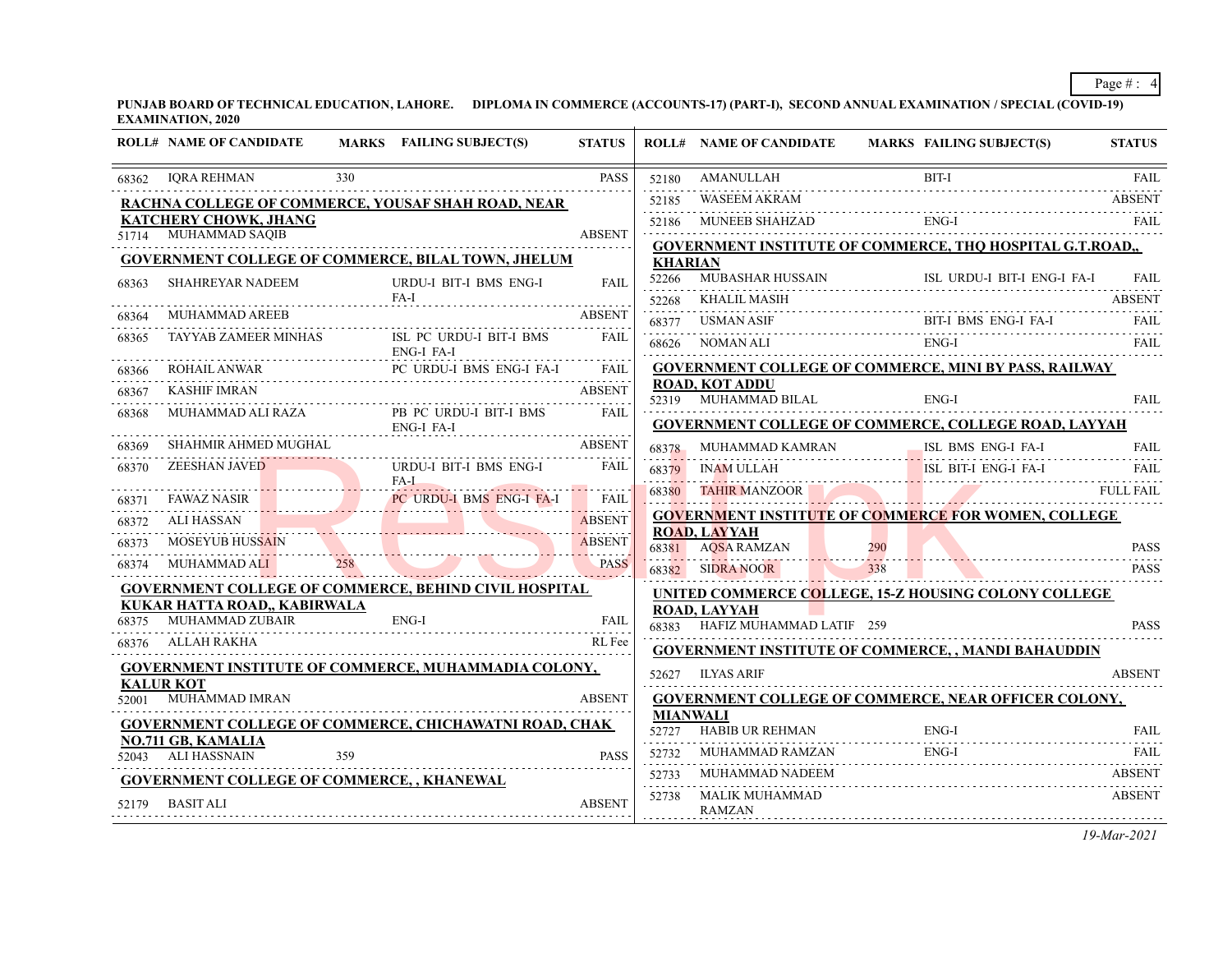**PUNJAB BOARD OF TECHNICAL EDUCATION, LAHORE. DIPLOMA IN COMMERCE (ACCOUNTS-17) (PART-I), SECOND ANNUAL EXAMINATION / SPECIAL (COVID-19) EXAMINATION, 2020**

|                  | <b>ROLL# NAME OF CANDIDATE</b>                        | MARKS FAILING SUBJECT(S)                                    | <b>STATUS</b> |                | <b>ROLL# NAME OF CANDIDATE</b>                           | MARKS FAILING SUBJECT(S)                                     | <b>STATUS</b> |
|------------------|-------------------------------------------------------|-------------------------------------------------------------|---------------|----------------|----------------------------------------------------------|--------------------------------------------------------------|---------------|
| 68362            | <b>IQRA REHMAN</b>                                    | 330                                                         | <b>PASS</b>   | 52180          | AMANULLAH                                                | BIT-I<br>AMANULLAH BIT-I FAIL FAIL                           |               |
|                  |                                                       | <b>RACHNA COLLEGE OF COMMERCE, YOUSAF SHAH ROAD, NEAR</b>   |               | 52185          | $\begin{array}{ l l }\n \text{WASEEM AKRAM} \end{array}$ |                                                              | ABSENT        |
|                  | KATCHERY CHOWK, JHANG                                 |                                                             |               |                | 52186 MUNEEB SHAHZAD                                     | ENG-I                                                        | <b>FAIL</b>   |
|                  | 51714 MUHAMMAD SAQIB                                  |                                                             | <b>ABSENT</b> |                |                                                          | GOVERNMENT INSTITUTE OF COMMERCE, THQ HOSPITAL G.T.ROAD,,    |               |
|                  |                                                       | GOVERNMENT COLLEGE OF COMMERCE, BILAL TOWN, JHELUM          |               | <b>KHARIAN</b> |                                                          |                                                              |               |
| 68363            | <b>SHAHREYAR NADEEM</b>                               | URDU-I BIT-I BMS ENG-I<br>FA-I                              | FAII.         | 52266          |                                                          | MUBASHAR HUSSAIN ISL URDU-I BIT-I ENG-I FA-I FAIL            |               |
| 68364            |                                                       |                                                             | <b>ABSENT</b> | 52268          | KHALIL MASIH                                             |                                                              | <b>ABSENT</b> |
| 68365            |                                                       | TAYYAB ZAMEER MINHAS ISL PC URDU-I BIT-I BMS FAIL           |               | 68377          | USMAN ASIF                                               | BIT-I BMS ENG-I FA-I FAIL                                    |               |
|                  |                                                       | ENG-I FA-I                                                  |               |                |                                                          | ENG-I<br>68626 NOMAN ALI ENG-I FAIL FAIL                     |               |
| 68366            |                                                       | ROHAIL ANWAR PC URDU-I BMS ENG-I FA-I FAIL                  |               |                |                                                          | <b>GOVERNMENT COLLEGE OF COMMERCE, MINI BY PASS, RAILWAY</b> |               |
| 68367            |                                                       |                                                             |               |                | <b>ROAD, KOT ADDU</b><br>52319 MUHAMMAD BILAL            | $ENG-I$                                                      | <b>FAIL</b>   |
| 68368            |                                                       | MUHAMMAD ALI RAZA PB PC URDU-I BIT-I BMS<br>ENG-I FA-I      | FAIL          |                |                                                          | <b>GOVERNMENT COLLEGE OF COMMERCE, COLLEGE ROAD, LAYYAH</b>  |               |
| 68369            |                                                       | SHAHMIR AHMED MUGHAL ABSENT                                 |               |                |                                                          | 68378 MUHAMMAD KAMRAN ISL BMS ENG-I FA-I                     | <b>FAIL</b>   |
| 68370            | ZEESHAN JAVED                                         | URDU-I BIT-I BMS ENG-I                                      | FAIL          |                |                                                          | 68379 INAM ULLAH ISL BIT-I ENG-I FA-I                        | FAIL          |
| 68371            |                                                       | $FA-I$<br>FAWAZ NASIR PC URDU-I BMS ENG-I FA-I FAIL         |               | 68380          | <b>TAHIR MANZOOR</b>                                     | <b>FULL FAIL</b>                                             |               |
| 68372            | ALI HASSAN NA HA                                      | ABSENT                                                      | <b>ABSENT</b> |                |                                                          | <b>GOVERNMENT INSTITUTE OF COMMERCE FOR WOMEN, COLLEGE</b>   |               |
| 68373            | MOSEYUB HUSSAIN                                       | TUB HUSSAIN                                                 | <b>ABSENT</b> |                | <b>ROAD, LAYYAH</b>                                      |                                                              |               |
| 68374            |                                                       | MUHAMMAD ALI 258                                            | <b>PASS</b>   |                | 68382 SIDRA NOOR 338                                     | 68381 AQSA RAMZAN 290 PASS                                   | <b>PASS</b>   |
|                  |                                                       | GOVERNMENT COLLEGE OF COMMERCE, BEHIND CIVIL HOSPITAL       |               |                |                                                          | UNITED COMMERCE COLLEGE, 15-Z HOUSING COLONY COLLEGE         |               |
|                  | KUKAR HATTA ROAD,, KABIRWALA<br>68375 MUHAMMAD ZUBAIR |                                                             |               |                | <b>ROAD, LAYYAH</b>                                      |                                                              |               |
|                  |                                                       | ENG-I                                                       | FAIL          |                | 68383 HAFIZ MUHAMMAD LATIF 259                           |                                                              | <b>PASS</b>   |
|                  | 68376 ALLAH RAKHA                                     |                                                             | RL Fee        |                |                                                          | <b>GOVERNMENT INSTITUTE OF COMMERCE, , MANDI BAHAUDDIN</b>   |               |
| <b>KALUR KOT</b> |                                                       | <b>GOVERNMENT INSTITUTE OF COMMERCE, MUHAMMADIA COLONY,</b> |               |                | 52627 ILYAS ARIF                                         |                                                              | <b>ABSENT</b> |
|                  | 52001 MUHAMMAD IMRAN                                  |                                                             | <b>ABSENT</b> |                |                                                          | <b>GOVERNMENT COLLEGE OF COMMERCE, NEAR OFFICER COLONY,</b>  |               |
|                  |                                                       | GOVERNMENT COLLEGE OF COMMERCE, CHICHAWATNI ROAD, CHAK      |               |                | <b>MIANWALI</b>                                          |                                                              |               |
|                  | <b>NO.711 GB, KAMALIA</b>                             |                                                             |               | 52.72.7        |                                                          | HABIB UR REHMAN ENG-I FAIL FAIL                              |               |
|                  | 52043 ALI HASSNAIN                                    | 359                                                         | <b>PASS</b>   | 52732          |                                                          |                                                              | FAIL          |
|                  |                                                       | <b>GOVERNMENT COLLEGE OF COMMERCE,, KHANEWAL</b>            |               | 52733          | MUHAMMAD NADEEM                                          |                                                              | <b>ABSENT</b> |
|                  | 52179 BASIT ALI                                       |                                                             | <b>ABSENT</b> | 52738          | MALIK MUHAMMAD<br><b>RAMZAN</b>                          |                                                              | <b>ABSENT</b> |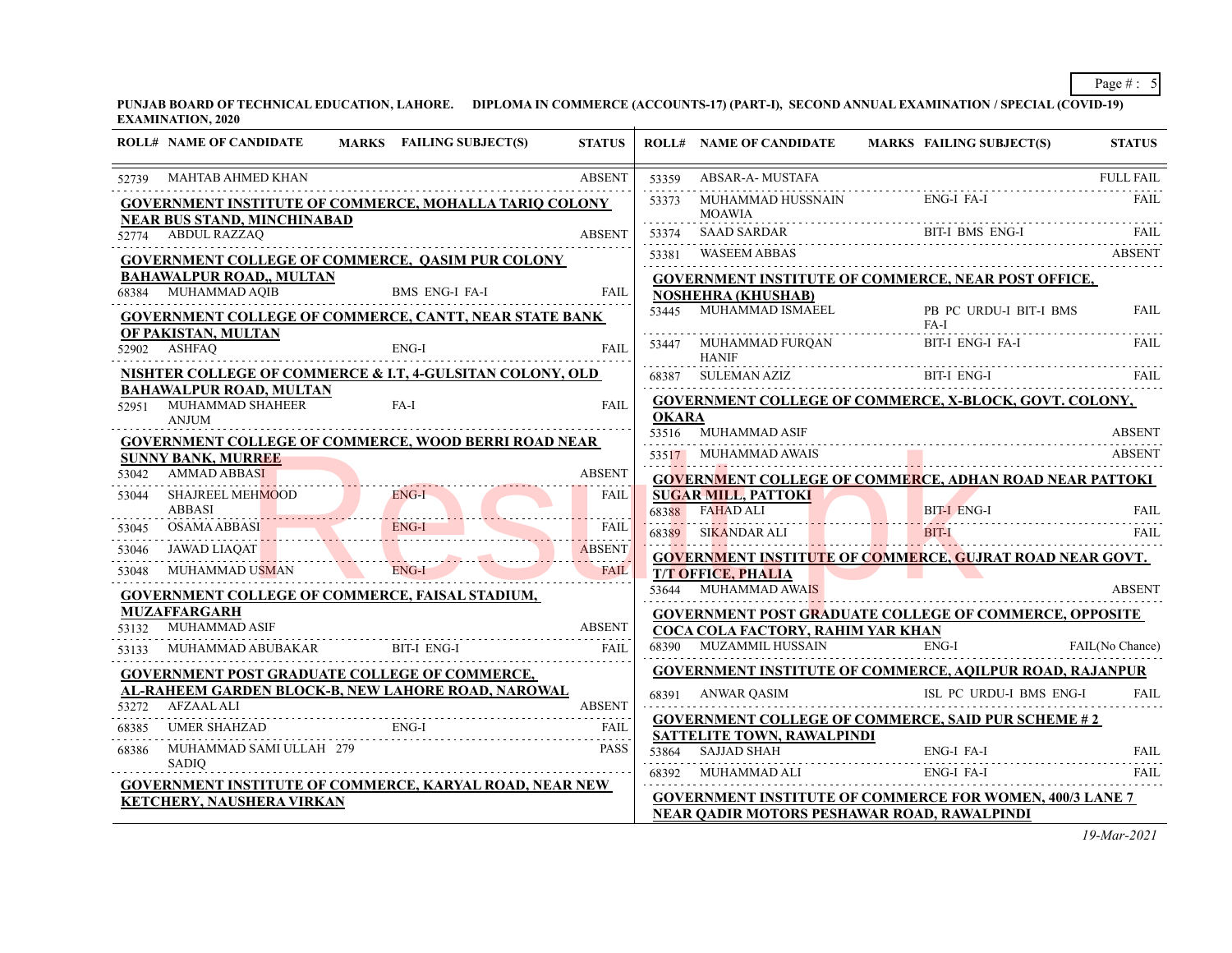**PUNJAB BOARD OF TECHNICAL EDUCATION, LAHORE. DIPLOMA IN COMMERCE (ACCOUNTS-17) (PART-I), SECOND ANNUAL EXAMINATION / SPECIAL (COVID-19) EXAMINATION, 2020**

|       | <b>ROLL# NAME OF CANDIDATE</b>                                           | <b>MARKS</b> FAILING SUBJECT(S)                                                                            | <b>STATUS</b>             |       | <b>ROLL# NAME OF CANDIDATE</b>                      | MARKS FAILING SUBJECT(S)                                        | <b>STATUS</b>   |
|-------|--------------------------------------------------------------------------|------------------------------------------------------------------------------------------------------------|---------------------------|-------|-----------------------------------------------------|-----------------------------------------------------------------|-----------------|
| 52739 | MAHTAB AHMED KHAN                                                        |                                                                                                            | <b>ABSENT</b>             | 53359 | ABSAR-A- MUSTAFA                                    | FULL FAIL                                                       |                 |
|       | <b>NEAR BUS STAND, MINCHINABAD</b>                                       | <b>GOVERNMENT INSTITUTE OF COMMERCE, MOHALLA TARIQ COLONY</b>                                              |                           | 53373 | MUHAMMAD HUSSNAIN<br><b>MOAWIA</b>                  | ENG-I FA-I                                                      | FAIL            |
|       | 52774 ABDUL RAZZAQ                                                       |                                                                                                            | <b>ABSENT</b>             | 53374 |                                                     | SAAD SARDAR BIT-I BMS ENG-I FAIL FAIL                           |                 |
|       |                                                                          | <b>GOVERNMENT COLLEGE OF COMMERCE, QASIM PUR COLONY</b>                                                    |                           | 53381 | WASEEM ABBAS                                        |                                                                 | ABSENT          |
|       | <b>BAHAWALPUR ROAD,, MULTAN</b><br>68384 MUHAMMAD AQIB                   | <b>BMS ENG-I FA-I</b>                                                                                      | <b>FAIL</b>               |       |                                                     | <b>GOVERNMENT INSTITUTE OF COMMERCE, NEAR POST OFFICE,</b>      |                 |
|       |                                                                          | GOVERNMENT COLLEGE OF COMMERCE, CANTT, NEAR STATE BANK                                                     |                           |       | <b>NOSHEHRA (KHUSHAB)</b><br>53445 MUHAMMAD ISMAEEL | PB PC URDU-I BIT-I BMS<br>$FA-I$                                | <b>FAIL</b>     |
|       | OF PAKISTAN, MULTAN<br>52902 ASHFAQ                                      | ENG-I                                                                                                      | FAIL                      |       | 53447 MUHAMMAD FURQAN<br><b>HANIF</b>               | BIT-I ENG-I FA-I                                                | <b>FAIL</b>     |
|       |                                                                          | NISHTER COLLEGE OF COMMERCE & I.T, 4-GULSITAN COLONY, OLD                                                  |                           |       | 68387 SULEMAN AZIZ BI                               | BIT-I ENG-I                                                     | FAIL            |
|       | <b>BAHAWALPUR ROAD, MULTAN</b><br>52951 MUHAMMAD SHAHEER<br><b>ANJUM</b> | FA-I                                                                                                       | FAIL                      | OKARA |                                                     | <b>GOVERNMENT COLLEGE OF COMMERCE, X-BLOCK, GOVT. COLONY,</b>   |                 |
|       |                                                                          | <b>GOVERNMENT COLLEGE OF COMMERCE, WOOD BERRI ROAD NEAR</b>                                                |                           |       | 53516 MUHAMMAD ASIF                                 |                                                                 | <b>ABSENT</b>   |
|       | <b>SUNNY BANK, MURREE</b>                                                |                                                                                                            |                           |       | 53517 MUHAMMAD AWAIS                                |                                                                 | <b>ABSENT</b>   |
| 53042 | AMMAD ABBASI                                                             |                                                                                                            | <b>ABSENT</b>             |       |                                                     | <b>GOVERNMENT COLLEGE OF COMMERCE, ADHAN ROAD NEAR PATTOKI</b>  |                 |
| 53044 | SHAJREEL MEHMOOD<br><b>ABBASI</b>                                        | $ENG-I$<br><u>and the state of the state</u>                                                               | FAIL                      |       | <b>SUGAR MILL, PATTOKI</b><br>68388 FAHAD ALI       | BIT-LENG-I FAIL FAIL FAIL ENG-I FAIL FAIL FAIL FAIL FAIL FAIL   |                 |
| 53045 | OSAMA ABBASI ENG-I                                                       | ENG-I                                                                                                      | <b>FAIL</b>               |       | 68389 SIKANDAR ALI                                  |                                                                 |                 |
| 53046 |                                                                          | JAWAD LIAQAT NAMAN ENG-I                                                                                   | <b>ABSENT</b><br><u>.</u> |       |                                                     | <b>GOVERNMENT INSTITUTE OF COMMERCE, GUJRAT ROAD NEAR GOVT.</b> |                 |
| 53048 |                                                                          |                                                                                                            | <b>FAIL</b>               |       | <b>T/T OFFICE, PHALIA</b>                           |                                                                 |                 |
|       |                                                                          | <b>GOVERNMENT COLLEGE OF COMMERCE, FAISAL STADIUM,</b>                                                     |                           |       | 53644 MUHAMMAD AWAIS                                |                                                                 | <b>ABSENT</b>   |
| 53132 | <b>MUZAFFARGARH</b><br>MUHAMMAD ASIF                                     |                                                                                                            | <b>ABSENT</b>             |       |                                                     | <b>GOVERNMENT POST GRADUATE COLLEGE OF COMMERCE, OPPOSITE</b>   |                 |
| 53133 |                                                                          | MUHAMMAD ABUBAKAR BIT-I ENG-I                                                                              | <b>FAIL</b>               |       | COCA COLA FACTORY, RAHIM YAR KHAN                   | 68390 MUZAMMIL HUSSAIN ENG-I                                    | FAIL(No Chance) |
|       |                                                                          |                                                                                                            | .                         |       |                                                     | <b>GOVERNMENT INSTITUTE OF COMMERCE, AQILPUR ROAD, RAJANPUR</b> |                 |
|       |                                                                          | <b>GOVERNMENT POST GRADUATE COLLEGE OF COMMERCE,</b><br>AL-RAHEEM GARDEN BLOCK-B, NEW LAHORE ROAD, NAROWAL |                           |       |                                                     |                                                                 | FAIL            |
|       | 53272 AFZAAL ALI                                                         |                                                                                                            |                           |       | 68391 ANWAR QASIM                                   | ISL PC URDU-I BMS ENG-I                                         |                 |
| 68385 |                                                                          | UMER SHAHZAD ENG-I                                                                                         | FAIL                      |       | <b>SATTELITE TOWN, RAWALPINDI</b>                   | <b>GOVERNMENT COLLEGE OF COMMERCE, SAID PUR SCHEME #2</b>       |                 |
|       | 68386 MUHAMMAD SAMI ULLAH 279                                            |                                                                                                            | <b>PASS</b>               |       | 53864 SAJJAD SHAH                                   | ENG-I FA-I                                                      | FAIL            |
|       | SADIQ                                                                    |                                                                                                            |                           |       | 68392 MUHAMMAD ALI                                  | ENG-I FA-I                                                      | FAIL            |
|       | <b>KETCHERY, NAUSHERA VIRKAN</b>                                         | <b>GOVERNMENT INSTITUTE OF COMMERCE, KARYAL ROAD, NEAR NEW</b>                                             |                           |       |                                                     | <b>GOVERNMENT INSTITUTE OF COMMERCE FOR WOMEN, 400/3 LANE 7</b> |                 |
|       |                                                                          |                                                                                                            |                           |       |                                                     | NEAR OADIR MOTORS PESHAWAR ROAD, RAWALPINDI                     |                 |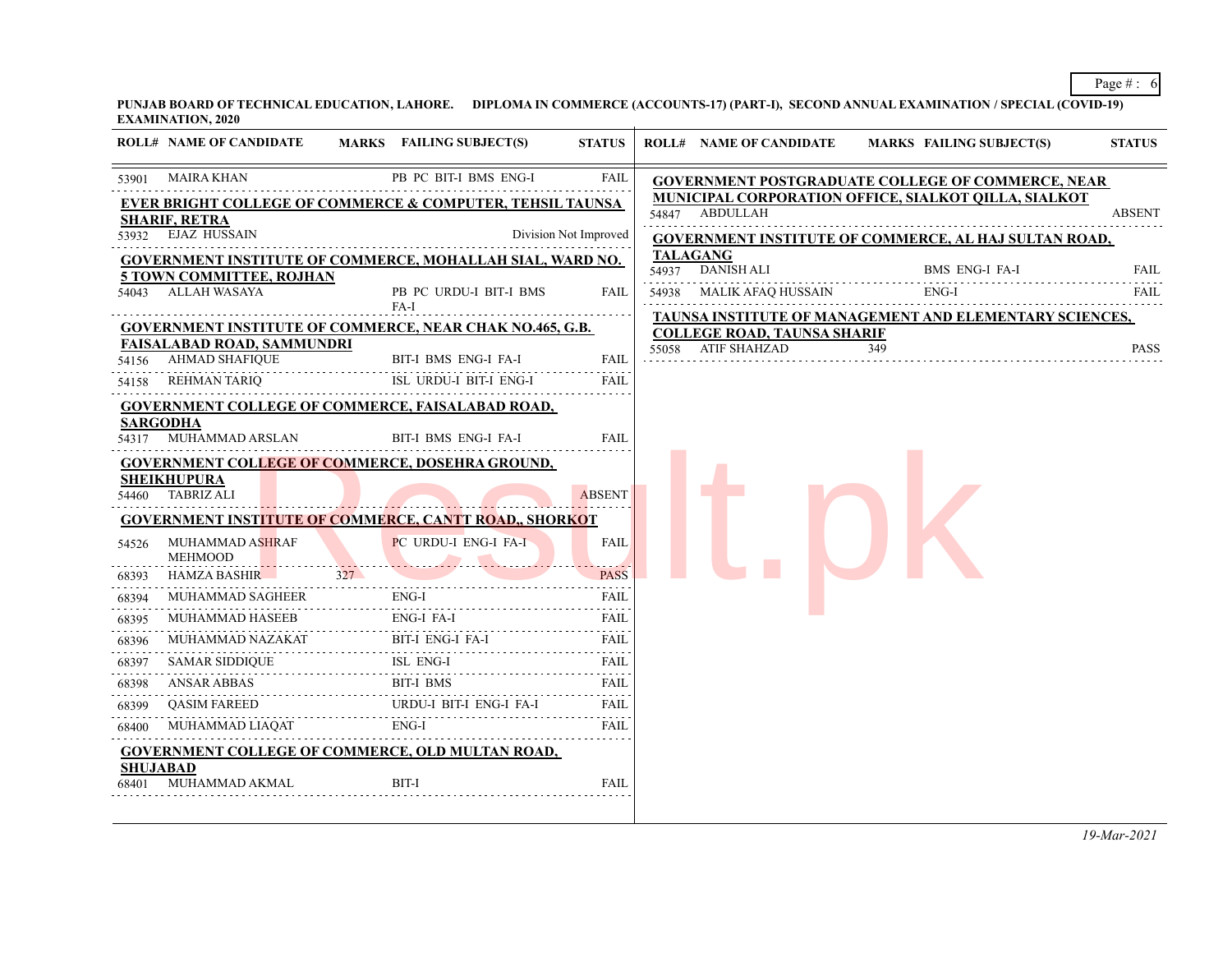**PUNJAB BOARD OF TECHNICAL EDUCATION, LAHORE. DIPLOMA IN COMMERCE (ACCOUNTS-17) (PART-I), SECOND ANNUAL EXAMINATION / SPECIAL (COVID-19) EXAMINATION, 2020**

|       | <b>ROLL# NAME OF CANDIDATE</b>                                   |     | MARKS FAILING SUBJECT(S)       | <b>STATUS</b>         |       | <b>ROLL# NAME OF CANDIDATE</b>                               |     | <b>MARKS FAILING SUBJECT(S)</b> | <b>STATUS</b> |
|-------|------------------------------------------------------------------|-----|--------------------------------|-----------------------|-------|--------------------------------------------------------------|-----|---------------------------------|---------------|
|       | 53901 MAIRA KHAN                                                 |     | PB PC BIT-I BMS ENG-I          | FAIL                  |       | <b>GOVERNMENT POSTGRADUATE COLLEGE OF COMMERCE, NEAR</b>     |     |                                 |               |
|       | EVER BRIGHT COLLEGE OF COMMERCE & COMPUTER, TEHSIL TAUNSA        |     |                                |                       |       | <b>MUNICIPAL CORPORATION OFFICE, SIALKOT OILLA, SIALKOT</b>  |     |                                 |               |
|       | <b>SHARIF, RETRA</b>                                             |     |                                |                       |       | 54847 ABDULLAH                                               |     |                                 | <b>ABSENT</b> |
|       | 53932 EJAZ HUSSAIN                                               |     |                                | Division Not Improved |       | <b>GOVERNMENT INSTITUTE OF COMMERCE, AL HAJ SULTAN ROAD,</b> |     |                                 |               |
|       | <b>GOVERNMENT INSTITUTE OF COMMERCE, MOHALLAH SIAL, WARD NO.</b> |     |                                |                       |       | <b>TALAGANG</b><br>54937 DANISH ALI                          |     | BMS ENG-I FA-I                  | FAIL          |
| 54043 | <b>5 TOWN COMMITTEE, ROJHAN</b><br>ALLAH WASAYA                  |     | PB PC URDU-I BIT-I BMS<br>FA-I | FAIL                  |       | 54938 MALIK AFAQ HUSSAIN                                     |     | ENG-I                           | <b>FAIL</b>   |
|       | <b>GOVERNMENT INSTITUTE OF COMMERCE, NEAR CHAK NO.465, G.B.</b>  |     |                                |                       |       | TAUNSA INSTITUTE OF MANAGEMENT AND ELEMENTARY SCIENCES,      |     |                                 |               |
|       | <b>FAISALABAD ROAD, SAMMUNDRI</b>                                |     |                                |                       | 55058 | <b>COLLEGE ROAD, TAUNSA SHARIF</b><br>ATIF SHAHZAD           | 349 |                                 | <b>PASS</b>   |
| 54156 | AHMAD SHAFIQUE                                                   |     | BIT-I BMS ENG-I FA-I           | <b>FAIL</b>           |       |                                                              |     |                                 |               |
| 54158 | REHMAN TARIQ                                                     |     | ISL URDU-I BIT-I ENG-I         | <b>FAIL</b>           |       |                                                              |     |                                 |               |
|       | <b>GOVERNMENT COLLEGE OF COMMERCE, FAISALABAD ROAD,</b>          |     |                                |                       |       |                                                              |     |                                 |               |
|       | <b>SARGODHA</b><br>54317 MUHAMMAD ARSLAN                         |     | BIT-I BMS ENG-I FA-I           | <b>FAIL</b>           |       |                                                              |     |                                 |               |
|       | <b>GOVERNMENT COLLEGE OF COMMERCE, DOSEHRA GROUND,</b>           |     |                                |                       |       |                                                              |     |                                 |               |
|       | <b>SHEIKHUPURA</b><br>54460 TABRIZ ALI                           |     |                                | <b>ABSENT</b>         |       |                                                              |     |                                 |               |
|       | <b>GOVERNMENT INSTITUTE OF COMMERCE, CANTT ROAD,, SHORKOT</b>    |     |                                |                       |       |                                                              |     |                                 |               |
| 54526 | MUHAMMAD ASHRAF<br><b>MEHMOOD</b>                                |     | PC URDU-I ENG-I FA-I           | <b>FAIL</b>           |       |                                                              |     |                                 |               |
| 68393 | <b>HAMZA BASHIR</b>                                              | 327 |                                | <b>PASS</b>           |       |                                                              |     |                                 |               |
| 68394 | <b>MUHAMMAD SAGHEER</b>                                          |     | $ENG-I$                        | FAIL                  |       |                                                              |     |                                 |               |
| 68395 | MUHAMMAD HASEEB                                                  |     | ENG-I FA-I                     | FAIL                  |       |                                                              |     |                                 |               |
| 68396 |                                                                  |     |                                | FAIL                  |       |                                                              |     |                                 |               |
| 68397 | <b>SAMAR SIDDIQUE</b>                                            |     | ISL ENG-I                      | FAIL                  |       |                                                              |     |                                 |               |
| 68398 | ANSAR ABBAS                                                      |     | BIT-I BMS                      | FAIL                  |       |                                                              |     |                                 |               |
| 68399 | QASIM FAREED                                                     |     | URDU-I BIT-I ENG-I FA-I        | <b>FAIL</b><br>.      |       |                                                              |     |                                 |               |
| 68400 | MUHAMMAD LIAQAT                                                  |     | ENG-I                          | <b>FAIL</b>           |       |                                                              |     |                                 |               |
|       | <b>GOVERNMENT COLLEGE OF COMMERCE, OLD MULTAN ROAD,</b>          |     |                                |                       |       |                                                              |     |                                 |               |
| 68401 | SHUJABAD<br>MUHAMMAD AKMAL                                       |     | <b>BIT-I</b>                   | <b>FAIL</b>           |       |                                                              |     |                                 |               |
|       |                                                                  |     |                                |                       |       |                                                              |     |                                 |               |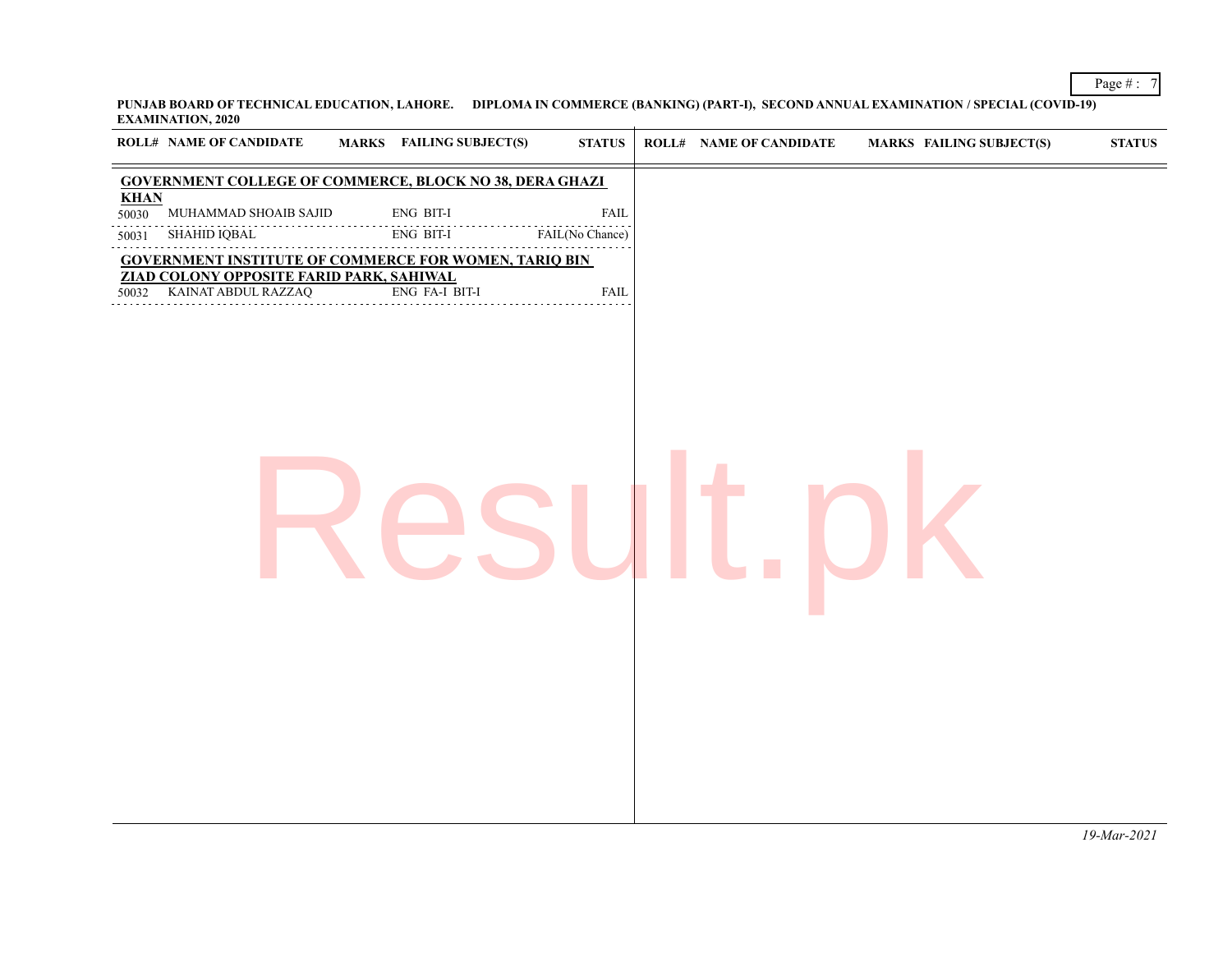**PUNJAB BOARD OF TECHNICAL EDUCATION, LAHORE. DIPLOMA IN COMMERCE (BANKING) (PART-I), SECOND ANNUAL EXAMINATION / SPECIAL (COVID-19) EXAMINATION, 2020**

| <b>GOVERNMENT COLLEGE OF COMMERCE, BLOCK NO 38, DERA GHAZI</b><br><b>KHAN</b><br>ENG BIT-I<br>MUHAMMAD SHOAIB SAJID<br><b>FAIL</b><br>50030<br>SHAHID IQBAL<br>ENG BIT-I<br>FAIL(No Chance)<br>50031<br><b>GOVERNMENT INSTITUTE OF COMMERCE FOR WOMEN, TARIQ BIN</b><br>ZIAD COLONY OPPOSITE FARID PARK, SAHIWAL<br>KAINAT ABDUL RAZZAQ<br>ENG FA-I BIT-I<br><b>FAIL</b><br>50032 | <b>ROLL# NAME OF CANDIDATE</b> | <b>MARKS</b> FAILING SUBJECT(S) | $\boldsymbol{\text{STATUS}}$ | <b>ROLL# NAME OF CANDIDATE</b> | <b>MARKS FAILING SUBJECT(S)</b> | ${\bf STATUS}$ |
|-----------------------------------------------------------------------------------------------------------------------------------------------------------------------------------------------------------------------------------------------------------------------------------------------------------------------------------------------------------------------------------|--------------------------------|---------------------------------|------------------------------|--------------------------------|---------------------------------|----------------|
|                                                                                                                                                                                                                                                                                                                                                                                   |                                |                                 |                              |                                |                                 |                |
|                                                                                                                                                                                                                                                                                                                                                                                   |                                |                                 |                              |                                |                                 |                |
|                                                                                                                                                                                                                                                                                                                                                                                   |                                |                                 |                              |                                |                                 |                |
|                                                                                                                                                                                                                                                                                                                                                                                   |                                |                                 |                              |                                |                                 |                |
|                                                                                                                                                                                                                                                                                                                                                                                   |                                |                                 |                              |                                |                                 |                |
| 19-Mar-2021                                                                                                                                                                                                                                                                                                                                                                       |                                |                                 |                              |                                |                                 |                |

Page # : 7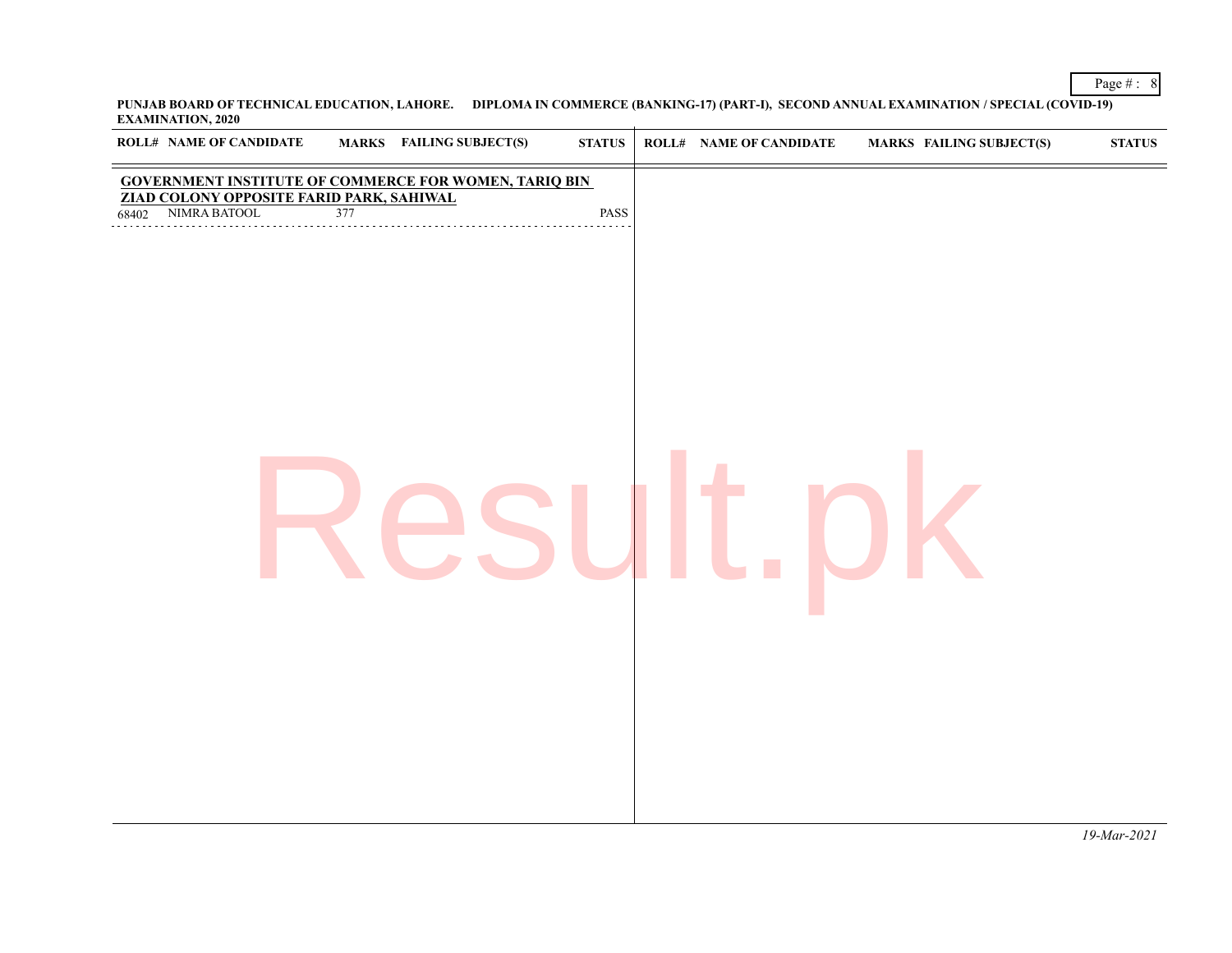**PUNJAB BOARD OF TECHNICAL EDUCATION, LAHORE. DIPLOMA IN COMMERCE (BANKING-17) (PART-I), SECOND ANNUAL EXAMINATION / SPECIAL (COVID-19) EXAMINATION, 2020**

|       | ROLL# NAME OF CANDIDATE |     | MARKS FAILING SUBJECT(S)                                                                      | ${\bf STATUS}$ | <b>ROLL# NAME OF CANDIDATE</b> | <b>MARKS FAILING SUBJECT(S)</b> | $\boldsymbol{\text{STATUS}}$ |
|-------|-------------------------|-----|-----------------------------------------------------------------------------------------------|----------------|--------------------------------|---------------------------------|------------------------------|
| 68402 | NIMRA BATOOL            | 377 | GOVERNMENT INSTITUTE OF COMMERCE FOR WOMEN, TARIQ BINZIAD COLONY OPPOSITE FARID PARK, SAHIWAL | PASS           |                                |                                 |                              |
|       |                         |     |                                                                                               |                |                                |                                 |                              |
|       |                         |     |                                                                                               |                |                                |                                 |                              |
|       |                         |     |                                                                                               |                |                                |                                 |                              |
|       |                         |     |                                                                                               |                |                                |                                 |                              |
|       |                         |     |                                                                                               |                |                                |                                 |                              |
|       |                         |     |                                                                                               |                |                                |                                 |                              |
|       |                         |     |                                                                                               |                |                                |                                 |                              |
|       |                         |     |                                                                                               |                |                                |                                 |                              |

Page # : 8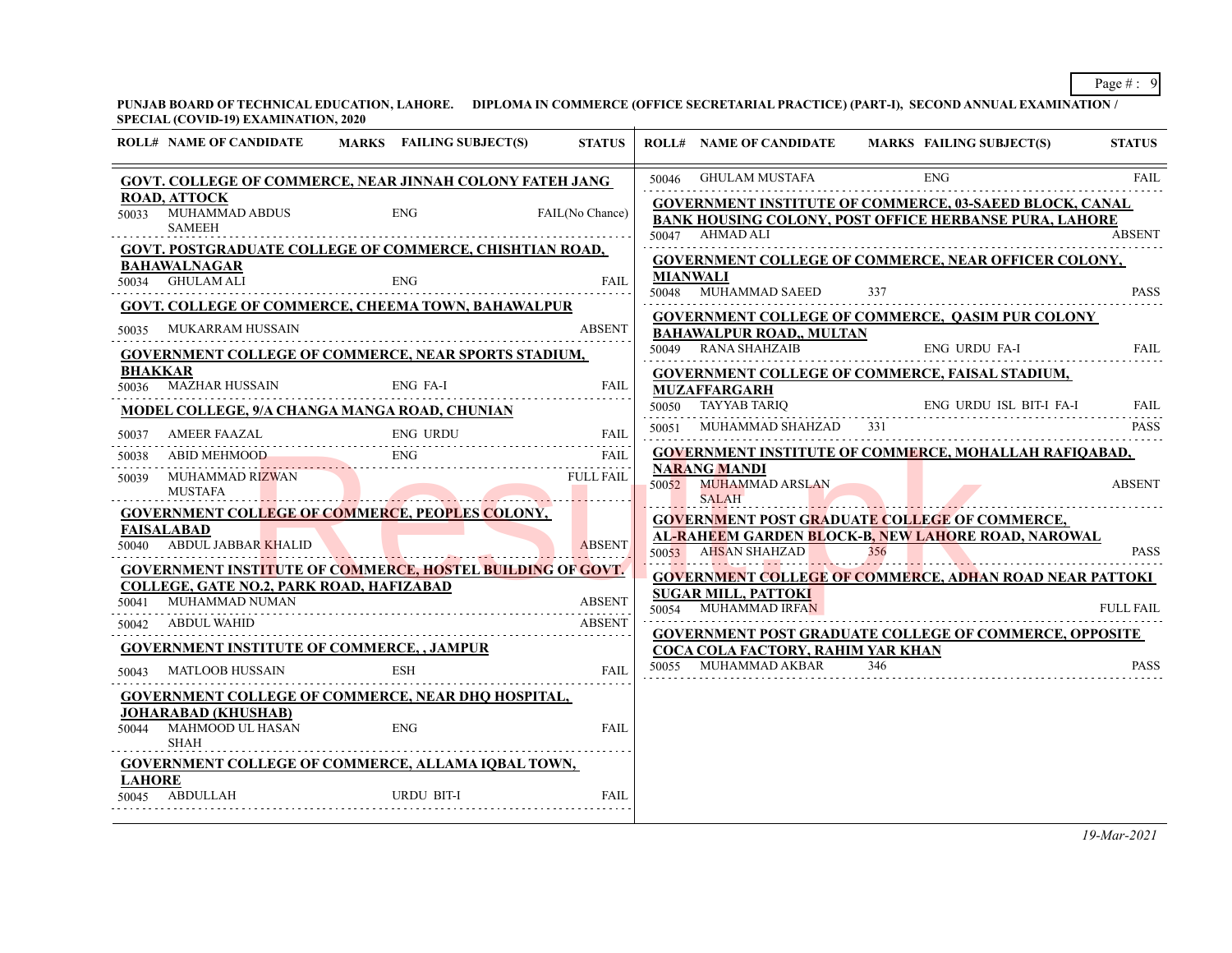**PUNJAB BOARD OF TECHNICAL EDUCATION, LAHORE. DIPLOMA IN COMMERCE (OFFICE SECRETARIAL PRACTICE) (PART-I), SECOND ANNUAL EXAMINATION / SPECIAL (COVID-19) EXAMINATION, 2020**

|               | 91 ECHAE (CO + ID-17) EAVAILLYMING TO THE 2020                          |                                                                   |                  |                                                              |     |                                                                                                                          |                  |
|---------------|-------------------------------------------------------------------------|-------------------------------------------------------------------|------------------|--------------------------------------------------------------|-----|--------------------------------------------------------------------------------------------------------------------------|------------------|
|               | <b>ROLL# NAME OF CANDIDATE</b>                                          | MARKS FAILING SUBJECT(S)                                          | <b>STATUS</b>    |                                                              |     | ROLL# NAME OF CANDIDATE MARKS FAILING SUBJECT(S)                                                                         | <b>STATUS</b>    |
|               |                                                                         | GOVT. COLLEGE OF COMMERCE, NEAR JINNAH COLONY FATEH JANG          |                  | 50046 GHULAM MUSTAFA                                         |     | <b>ENG</b>                                                                                                               | <b>FAIL</b>      |
|               | <b>ROAD, ATTOCK</b><br>50033 MUHAMMAD ABDUS<br><b>SAMEEH</b>            | ENG                                                               | FAIL(No Chance)  | 50047 AHMAD ALI                                              |     | GOVERNMENT INSTITUTE OF COMMERCE, 03-SAEED BLOCK, CANAL<br><b>BANK HOUSING COLONY, POST OFFICE HERBANSE PURA, LAHORE</b> | <b>ABSENT</b>    |
|               |                                                                         | GOVT. POSTGRADUATE COLLEGE OF COMMERCE, CHISHTIAN ROAD,           |                  |                                                              |     |                                                                                                                          |                  |
|               | BAHAWALNAGAR                                                            |                                                                   |                  | <b>MIANWALI</b>                                              |     | <b>GOVERNMENT COLLEGE OF COMMERCE, NEAR OFFICER COLONY,</b>                                                              |                  |
|               | 50034 GHULAM ALI                                                        | <b>ENG</b>                                                        | FAIL             | 50048 MUHAMMAD SAEED                                         | 337 |                                                                                                                          | <b>PASS</b>      |
|               |                                                                         | GOVT. COLLEGE OF COMMERCE, CHEEMA TOWN, BAHAWALPUR                |                  |                                                              |     | <b>GOVERNMENT COLLEGE OF COMMERCE, QASIM PUR COLONY</b>                                                                  |                  |
|               | 50035 MUKARRAM HUSSAIN                                                  |                                                                   | <b>ABSENT</b>    | <b>BAHAWALPUR ROAD,, MULTAN</b>                              |     |                                                                                                                          |                  |
|               |                                                                         | <b>GOVERNMENT COLLEGE OF COMMERCE, NEAR SPORTS STADIUM,</b>       |                  | 50049 RANA SHAHZAIB                                          |     | ENG URDU FA-I                                                                                                            | FAIL             |
|               | <b>BHAKKAR</b><br>50036 MAZHAR HUSSAIN                                  | ENG FA-I                                                          | <b>FAIL</b>      | <b>MUZAFFARGARH</b>                                          |     | <b>GOVERNMENT COLLEGE OF COMMERCE, FAISAL STADIUM,</b>                                                                   |                  |
|               |                                                                         | <b>MODEL COLLEGE, 9/A CHANGA MANGA ROAD, CHUNIAN</b>              |                  | 50050 TAYYAB TARIQ                                           |     | ENG URDU ISL BIT-I FA-I FAIL                                                                                             |                  |
| 50037         | AMEER FAAZAL                                                            | ENG URDU FAII                                                     | FAIL             | 50051 MUHAMMAD SHAHZAD                                       | 331 |                                                                                                                          | <b>PASS</b>      |
| 50038         | ABID MEHMOOD                                                            | ENG                                                               | FAIL             |                                                              |     | <b>GOVERNMENT INSTITUTE OF COMMERCE, MOHALLAH RAFIQABAD,</b>                                                             |                  |
| 50039         | MUHAMMAD RIZWAN<br>MUSTAFA                                              |                                                                   | <b>FULL FAIL</b> | <b>NARANG MANDI</b><br>50052 MUHAMMAD ARSLAN<br><b>SALAH</b> |     |                                                                                                                          | <b>ABSENT</b>    |
|               |                                                                         | <b>GOVERNMENT COLLEGE OF COMMERCE, PEOPLES COLONY,</b>            |                  | <b>GOVERNMENT POST GRADUATE COLLEGE OF COMMERCE,</b>         |     |                                                                                                                          |                  |
|               | FAISALABAD<br>50040 ABDUL JABBAR KHALID                                 |                                                                   | <b>ABSENT</b>    | 50053 AHSAN SHAHZAD                                          | 356 | AL-RAHEEM GARDEN BLOCK-B, NEW LAHORE ROAD, NAROWAL                                                                       | <b>PASS</b>      |
|               |                                                                         | <b>GOVERNMENT INSTITUTE OF COMMERCE, HOSTEL BUILDING OF GOVT.</b> |                  |                                                              |     | <b>GOVERNMENT COLLEGE OF COMMERCE, ADHAN ROAD NEAR PATTOKI</b>                                                           |                  |
|               | <b>COLLEGE, GATE NO.2, PARK ROAD, HAFIZABAD</b><br>50041 MUHAMMAD NUMAN |                                                                   | <b>ABSENT</b>    | <b>SUGAR MILL, PATTOKI</b><br>50054 MUHAMMAD IRFAN           |     |                                                                                                                          | <b>FULL FAIL</b> |
|               | 50042 ABDUL WAHID                                                       |                                                                   | ABSENT           |                                                              |     |                                                                                                                          |                  |
|               |                                                                         | <b>GOVERNMENT INSTITUTE OF COMMERCE, , JAMPUR</b>                 |                  | <b>COCA COLA FACTORY, RAHIM YAR KHAN</b>                     |     | <b>GOVERNMENT POST GRADUATE COLLEGE OF COMMERCE, OPPOSITE</b>                                                            |                  |
| 50043         | MATLOOB HUSSAIN                                                         | ESH                                                               | FAIL             | 50055 MUHAMMAD AKBAR                                         | 346 |                                                                                                                          | <b>PASS</b>      |
|               |                                                                         | <b>GOVERNMENT COLLEGE OF COMMERCE, NEAR DHO HOSPITAL,</b>         |                  |                                                              |     |                                                                                                                          |                  |
|               | <b>JOHARABAD (KHUSHAB)</b><br>50044 MAHMOOD UL HASAN<br><b>SHAH</b>     | <b>ENG</b>                                                        | FAIL             |                                                              |     |                                                                                                                          |                  |
|               |                                                                         | <b>GOVERNMENT COLLEGE OF COMMERCE, ALLAMA IQBAL TOWN,</b>         |                  |                                                              |     |                                                                                                                          |                  |
| <b>LAHORE</b> | 50045 ABDULLAH                                                          | URDU BIT-I                                                        | <b>FAIL</b>      |                                                              |     |                                                                                                                          |                  |
|               |                                                                         |                                                                   |                  |                                                              |     |                                                                                                                          |                  |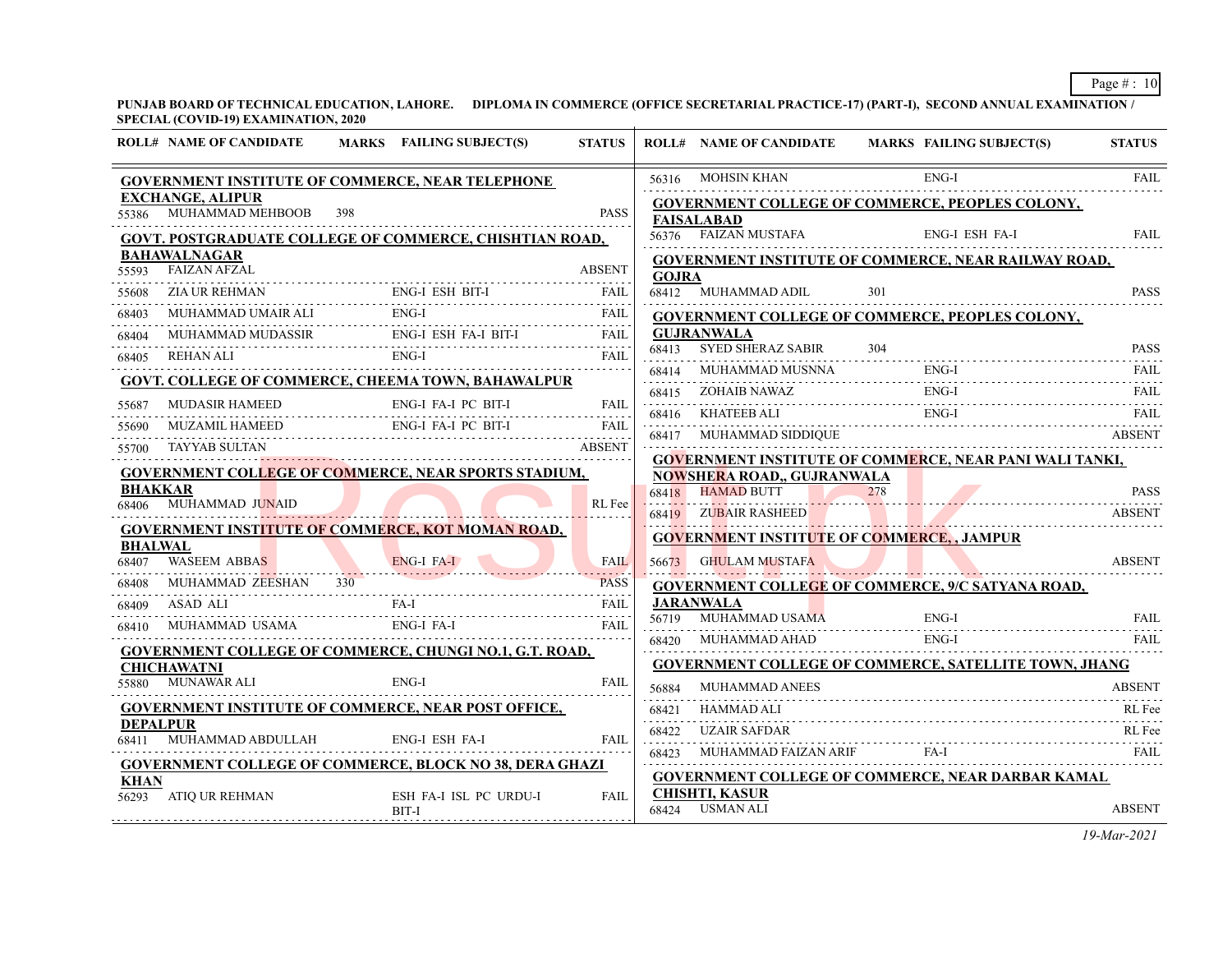**PUNJAB BOARD OF TECHNICAL EDUCATION, LAHORE. DIPLOMA IN COMMERCE (OFFICE SECRETARIAL PRACTICE-17) (PART-I), SECOND ANNUAL EXAMINATION / SPECIAL (COVID-19) EXAMINATION, 2020**

|                         | <b>ROLL# NAME OF CANDIDATE</b>                        | <b>MARKS</b> FAILING SUBJECT(S)                                                                                                                                                                                                  | <b>STATUS</b>      |              | <b>ROLL# NAME OF CANDIDATE</b>           | MARKS FAILING SUBJECT(S)                                       | <b>STATUS</b> |
|-------------------------|-------------------------------------------------------|----------------------------------------------------------------------------------------------------------------------------------------------------------------------------------------------------------------------------------|--------------------|--------------|------------------------------------------|----------------------------------------------------------------|---------------|
|                         |                                                       | <b>GOVERNMENT INSTITUTE OF COMMERCE, NEAR TELEPHONE</b>                                                                                                                                                                          |                    |              | 56316 MOHSIN KHAN                        | $ENG-I$<br>56316 MOHSIN KHAN ENG-I FAIL FAIL                   |               |
|                         | <b>EXCHANGE, ALIPUR</b><br>55386 MUHAMMAD MEHBOOB 398 |                                                                                                                                                                                                                                  | <b>PASS</b>        |              | <b>FAISALABAD</b>                        | <b>GOVERNMENT COLLEGE OF COMMERCE, PEOPLES COLONY,</b>         |               |
|                         |                                                       | <b>GOVT. POSTGRADUATE COLLEGE OF COMMERCE, CHISHTIAN ROAD,</b>                                                                                                                                                                   |                    |              |                                          | 56376 FAIZAN MUSTAFA ENG-I ESH FA-I                            | FAIL          |
| 55593                   | <b>BAHAWALNAGAR</b><br><b>FAIZAN AFZAL</b>            |                                                                                                                                                                                                                                  | ABSENT             | <b>GOJRA</b> |                                          | <b>GOVERNMENT INSTITUTE OF COMMERCE, NEAR RAILWAY ROAD,</b>    |               |
| 55608                   |                                                       | ZIA UR REHMAN ENG-I ESH BIT-I FAIL                                                                                                                                                                                               | <b>FAIL</b>        |              | 68412 MUHAMMAD ADIL                      | 301                                                            | <b>PASS</b>   |
| 68403                   |                                                       |                                                                                                                                                                                                                                  |                    |              |                                          | <b>GOVERNMENT COLLEGE OF COMMERCE, PEOPLES COLONY,</b>         |               |
| 68404                   |                                                       |                                                                                                                                                                                                                                  |                    |              | <b>GUJRANWALA</b>                        |                                                                |               |
| 68405                   | REHAN ALI                                             | ENG-I                                                                                                                                                                                                                            | <b>FAIL</b>        |              | 68413 SYED SHERAZ SABIR 304              |                                                                | <b>PASS</b>   |
|                         |                                                       | GOVT. COLLEGE OF COMMERCE, CHEEMA TOWN, BAHAWALPUR                                                                                                                                                                               |                    | 68414        | MUHAMMAD MUSNNA                          | $ENG-I$<br>ENG-I                                               | FAIL          |
| 55687                   | MUDASIR HAMEED                                        | ED ENG-I FA-I PC BIT-I                                                                                                                                                                                                           | FAII.              |              | KHATEEB ALI                              | 68415 ZOHAIB NAWAZ ENG-I FAIL FAIL                             | FAIL          |
| 55690                   |                                                       |                                                                                                                                                                                                                                  | FAII.              | 68416        |                                          |                                                                | <b>ABSENT</b> |
| 55700                   | <b>TAYYAB SULTAN</b>                                  |                                                                                                                                                                                                                                  | <b>ABSENT</b>      | 68417        | MUHAMMAD SIDDIQUE                        |                                                                |               |
|                         |                                                       | <b>GOVERNMENT COLLEGE OF COMMERCE, NEAR SPORTS STADIUM,</b>                                                                                                                                                                      |                    |              | <b>NOWSHERA ROAD,, GUJRANWALA</b>        | <b>GOVERNMENT INSTITUTE OF COMMERCE, NEAR PANI WALI TANKI,</b> |               |
| <b>BHAKKAR</b>          |                                                       |                                                                                                                                                                                                                                  |                    |              | 68418 HAMAD BUTT                         | $\overline{\text{TT}}$ 278 PASS                                |               |
| 68406                   | MUHAMMAD JUNAID                                       |                                                                                                                                                                                                                                  | RL Fee<br><u>.</u> |              | 68419 ZUBAIR RASHEED                     | IR RASHEED ABSENT                                              | <b>ABSENT</b> |
|                         |                                                       | <b>GOVERNMENT INSTITUTE OF COMMERCE, KOT MOMAN ROAD,</b>                                                                                                                                                                         |                    |              |                                          | <b>GOVERNMENT INSTITUTE OF COMMERCE,, JAMPUR</b>               |               |
| <b>BHALWAL</b><br>68407 | WASEEM ABBAS                                          | ENG-I FA-I                                                                                                                                                                                                                       | <b>FAIL</b>        |              | 56673 GHULAM MUSTAFA                     |                                                                | ABSENT        |
|                         | MUHAMMAD ZEESHAN 330                                  |                                                                                                                                                                                                                                  | <b>PASS</b>        |              |                                          | <b>GOVERNMENT COLLEGE OF COMMERCE, 9/C SATYANA ROAD,</b>       |               |
| 68409                   | ASAD ALI                                              |                                                                                                                                                                                                                                  | <b>FAIL</b>        |              | <b>JARANWALA</b><br>56719 MUHAMMAD USAMA | ENG-I                                                          | <b>FAIL</b>   |
| 68410                   |                                                       | ASAD ALI AND FA-1<br>ALI AND USAMA ENG-I FA-I FAIL AND TRACK THE TRACK THE REAL FAIL AND TRACK THE TRACK THE TRACK THE TRACK THE TRACK THE TRACK THE TRACK THE TRACK THE TRACK THE TRACK THE TRACK THE TRACK THE TRACK THE TRACK |                    |              | 68420 MUHAMMAD AHAD                      | $ENG-I$                                                        | FAIL          |
|                         |                                                       | <b>GOVERNMENT COLLEGE OF COMMERCE, CHUNGI NO.1, G.T. ROAD,</b>                                                                                                                                                                   |                    |              |                                          |                                                                |               |
|                         | <b>CHICHAWATNI</b><br>55880 MUNAWAR ALI               | $ENG-I$                                                                                                                                                                                                                          | FAII.              |              |                                          | <b>GOVERNMENT COLLEGE OF COMMERCE, SATELLITE TOWN, JHANG</b>   |               |
|                         |                                                       |                                                                                                                                                                                                                                  |                    | 56884        | <b>MUHAMMAD ANEES</b>                    |                                                                | <b>ABSENT</b> |
| <b>DEPALPUR</b>         |                                                       | GOVERNMENT INSTITUTE OF COMMERCE, NEAR POST OFFICE,                                                                                                                                                                              |                    | 68421        | <b>HAMMAD ALI</b>                        |                                                                | RL Fee        |
|                         |                                                       |                                                                                                                                                                                                                                  | FAIL               | 68422        | UZAIR SAFDAR                             |                                                                | RL Fee        |
|                         |                                                       | <b>GOVERNMENT COLLEGE OF COMMERCE, BLOCK NO 38, DERA GHAZI</b>                                                                                                                                                                   |                    |              |                                          | 68423 MUHAMMAD FAIZAN ARIF FA-I FAIL FAIL                      | <b>FAIL</b>   |
| <b>KHAN</b>             |                                                       |                                                                                                                                                                                                                                  |                    |              |                                          | GOVERNMENT COLLEGE OF COMMERCE, NEAR DARBAR KAMAL              |               |
|                         | 56293 ATIO UR REHMAN                                  | ESH FA-I ISL PC URDU-I<br>BIT-I                                                                                                                                                                                                  | FAIL               |              | <b>CHISHTI, KASUR</b><br>68424 USMAN ALI |                                                                | <b>ABSENT</b> |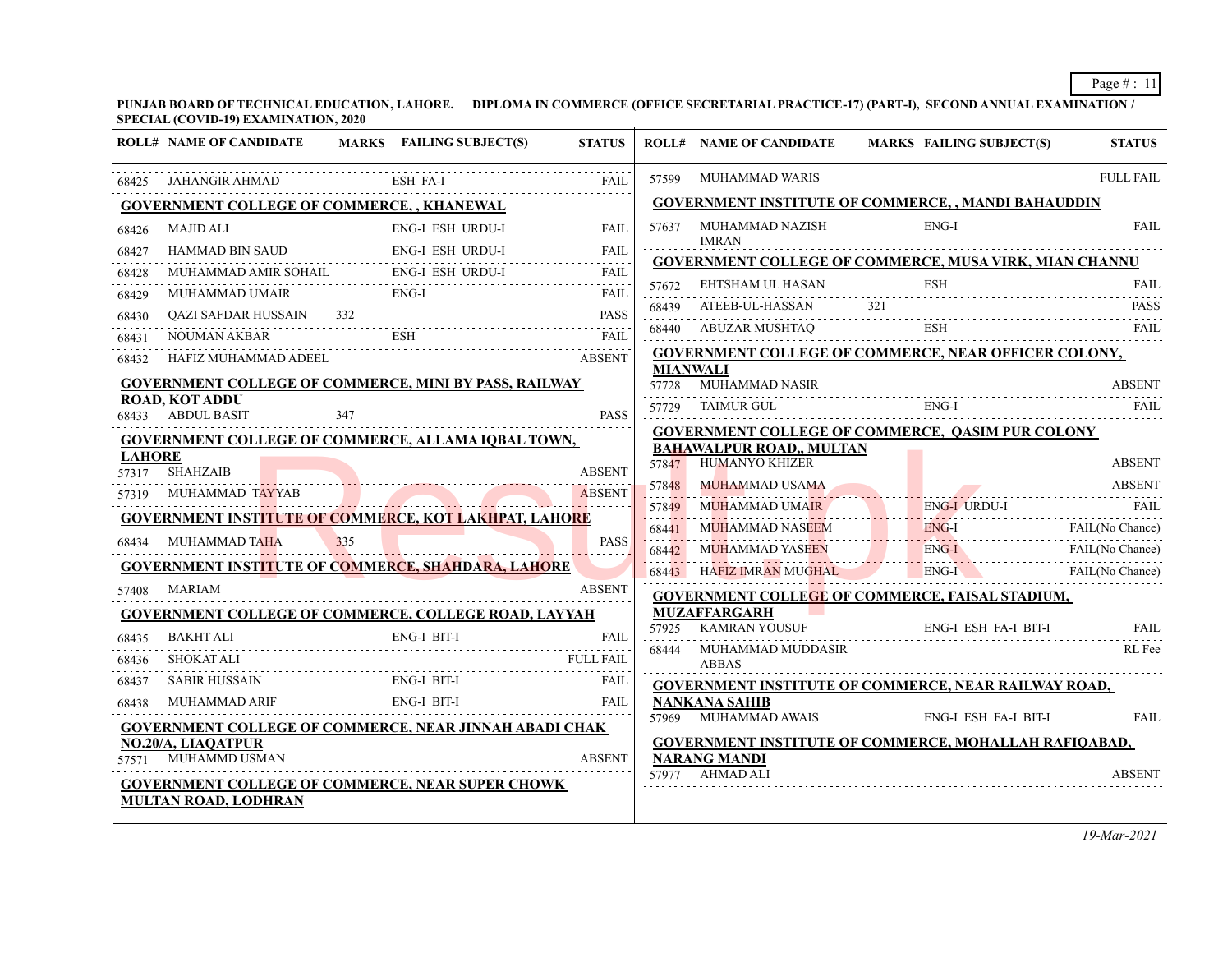**PUNJAB BOARD OF TECHNICAL EDUCATION, LAHORE. DIPLOMA IN COMMERCE (OFFICE SECRETARIAL PRACTICE-17) (PART-I), SECOND ANNUAL EXAMINATION / SPECIAL (COVID-19) EXAMINATION, 2020**

|                | <b>ROLL# NAME OF CANDIDATE</b>                                                             |     | MARKS FAILING SUBJECT(S) | <b>STATUS</b>    |                 | <b>ROLL# NAME OF CANDIDATE</b>                          | <b>MARKS FAILING SUBJECT(S)</b>                               | <b>STATUS</b>          |
|----------------|--------------------------------------------------------------------------------------------|-----|--------------------------|------------------|-----------------|---------------------------------------------------------|---------------------------------------------------------------|------------------------|
| 68425          | JAHANGIR AHMAD                                                                             |     | ESH FA-I                 | FAIL             |                 | 57599 MUHAMMAD WARIS                                    |                                                               | <b>FULL FAIL</b>       |
|                | <b>GOVERNMENT COLLEGE OF COMMERCE,, KHANEWAL</b>                                           |     |                          |                  |                 |                                                         | <b>GOVERNMENT INSTITUTE OF COMMERCE,, MANDI BAHAUDDIN</b>     |                        |
| 68426          | MAJID ALI                                                                                  | .   | ENG-I ESH URDU-I         | <b>FAIL</b>      | 57637           | MUHAMMAD NAZISH<br>IMRAN                                | $ENG-I$                                                       | <b>FAIL</b>            |
| 68427          | <b>HAMMAD BIN SAUD</b>                                                                     |     | ENG-I ESH URDU-I         | <b>FAIL</b>      |                 |                                                         | <b>GOVERNMENT COLLEGE OF COMMERCE, MUSA VIRK, MIAN CHANNU</b> |                        |
| 68428          | MUHAMMAD AMIR SOHAIL ENG-I ESH URDU-I                                                      |     |                          | <b>FAIL</b>      |                 | 57672 EHTSHAM UL HASAN                                  | <b>ESH</b>                                                    | FAIL.                  |
| 68429          | MUHAMMAD UMAIR ENG-I                                                                       |     |                          | <b>FAIL</b>      |                 |                                                         |                                                               |                        |
| 68430          | QAZI SAFDAR HUSSAIN 332 PASS                                                               |     |                          |                  |                 |                                                         | 68439 ATEEB-UL-HASSAN 321 PASS<br><b>ESH</b>                  | FAIL.                  |
| 68431          | <b>NOUMAN AKBAR</b>                                                                        |     |                          | <b>FAIL</b>      |                 | 68440 ABUZAR MUSHTAQ                                    |                                                               |                        |
| 68432          | HAFIZ MUHAMMAD ADEEL                                                                       |     |                          | <b>ABSENT</b>    | <b>MIANWALI</b> |                                                         | GOVERNMENT COLLEGE OF COMMERCE, NEAR OFFICER COLONY,          |                        |
|                | GOVERNMENT COLLEGE OF COMMERCE, MINI BY PASS, RAILWAY                                      |     |                          |                  | 57728           | MUHAMMAD NASIR                                          |                                                               | <b>ABSENT</b>          |
|                | <b>ROAD, KOT ADDU</b><br>68433 ABDUL BASIT                                                 | 347 |                          | <b>PASS</b>      |                 | 57729 TAIMUR GUL                                        | ENG-I                                                         |                        |
|                | <b>GOVERNMENT COLLEGE OF COMMERCE, ALLAMA IQBAL TOWN,</b>                                  |     |                          |                  |                 |                                                         | <b>GOVERNMENT COLLEGE OF COMMERCE, QASIM PUR COLONY</b>       |                        |
| <b>LAHORE</b>  |                                                                                            |     |                          |                  |                 | <b>BAHAWALPUR ROAD,, MULTAN</b><br>57847 HUMANYO KHIZER |                                                               | <b>ABSENT</b>          |
|                | 57317 SHAHZAIB                                                                             |     |                          | <b>ABSENT</b>    |                 |                                                         |                                                               |                        |
|                | 57319 MUHAMMAD TAYYAB                                                                      |     |                          | ABSENT           | 57848           | MUHAMMAD USAMA<br><b>MUHAMMAD UMAIR</b>                 |                                                               | <b>ABSENT</b><br>FAII. |
|                | <b>GOVERNMENT INSTITUTE OF COMMERCE, KOT LAKHPAT, LAHORE</b>                               |     |                          |                  | 57849           | MMAD UMAIR                                              | ENG-I URDU-I<br>ENG-I                                         |                        |
| 68434          | MUHAMMAD TAHA                                                                              | 335 |                          | <b>PASS</b>      | 68441<br>68442  | MUHAMMAD NASEEM                                         | ENG-I FAIL (No Chance)                                        | FAIL(No Chance)        |
|                | <b>GOVERNMENT INSTITUTE OF COMMERCE, SHAHDARA, LAHORE</b>                                  |     |                          |                  |                 | MUHAMMAD YASEEN<br>68443 HAFIZ IMRAN MUGHAL             | $ENG-I$<br>ENG-I FAIL(No Chance)                              |                        |
| 57408          | MARIAM                                                                                     |     |                          | <b>ABSENT</b>    |                 |                                                         |                                                               |                        |
|                | <b>GOVERNMENT COLLEGE OF COMMERCE, COLLEGE ROAD, LAYYAH</b>                                |     |                          |                  |                 | <b>MUZAFFARGARH</b>                                     | <b>GOVERNMENT COLLEGE OF COMMERCE, FAISAL STADIUM,</b>        |                        |
| 68435          | <b>BAKHT ALI</b>                                                                           |     | ENG-I BIT-I              |                  |                 | 57925 KAMRAN YOUSUF                                     | ENG-I ESH FA-I BIT-I                                          | <b>FAIL</b>            |
| 68436          | SHOKAT ALI                                                                                 |     |                          | <b>FULL FAIL</b> |                 | 68444 MUHAMMAD MUDDASIR                                 |                                                               | RL Fee                 |
|                | SABIR HUSSAIN                                                                              |     | ENG-I BIT-I              | <b>FAIL</b>      |                 | <b>ABBAS</b>                                            |                                                               |                        |
| 68437<br>68438 | MUHAMMAD ARIF                                                                              |     | ENG-I BIT-I              | FAIL             |                 | <b>NANKANA SAHIB</b>                                    | <b>GOVERNMENT INSTITUTE OF COMMERCE, NEAR RAILWAY ROAD,</b>   |                        |
|                |                                                                                            |     |                          |                  |                 |                                                         | 57969 MUHAMMAD AWAIS ENG-I ESH FA-I BIT-I                     | <b>FAIL</b>            |
|                | <b>GOVERNMENT COLLEGE OF COMMERCE, NEAR JINNAH ABADI CHAK</b><br><b>NO.20/A, LIAOATPUR</b> |     |                          |                  |                 |                                                         | <b>GOVERNMENT INSTITUTE OF COMMERCE, MOHALLAH RAFIQABAD,</b>  |                        |
|                | 57571 MUHAMMD USMAN                                                                        |     |                          | <b>ABSENT</b>    |                 | <b>NARANG MANDI</b>                                     |                                                               |                        |
|                | <b>GOVERNMENT COLLEGE OF COMMERCE, NEAR SUPER CHOWK</b>                                    |     |                          |                  |                 | 57977 AHMAD ALI                                         |                                                               | <b>ABSENT</b>          |
|                | <b>MULTAN ROAD, LODHRAN</b>                                                                |     |                          |                  |                 |                                                         |                                                               |                        |